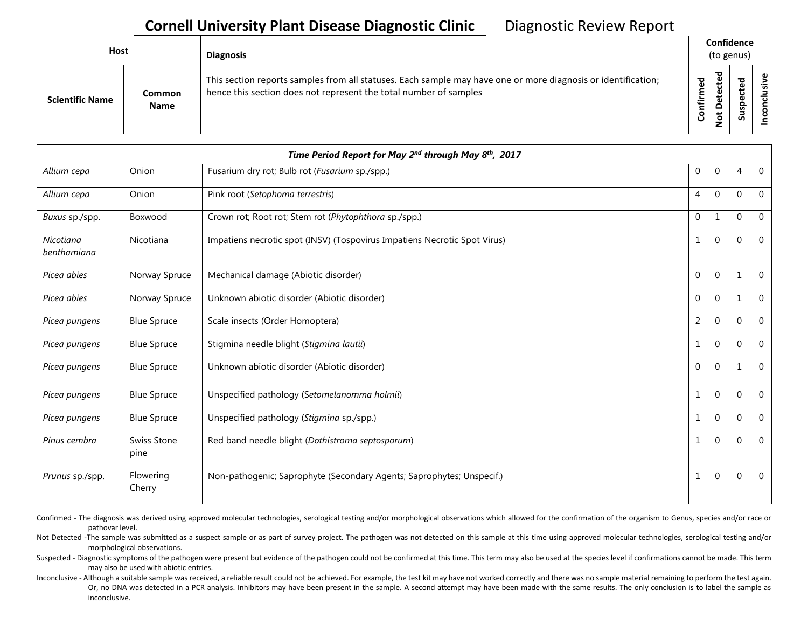## **Cornell University Plant Disease Diagnostic Clinic** | Diagnostic Review Report

| Host                   |                       | <b>Diagnosis</b>                                                                                                                                                                   |                   | Confidence<br>(to genus)  |                                 |            |  |  |
|------------------------|-----------------------|------------------------------------------------------------------------------------------------------------------------------------------------------------------------------------|-------------------|---------------------------|---------------------------------|------------|--|--|
| <b>Scientific Name</b> | Common<br><b>Name</b> | This section reports samples from all statuses. Each sample may have one or more diagnosis or identification;<br>hence this section does not represent the total number of samples | ਠ<br>ω<br>Confirm | ъ<br>ຼື<br>$\Omega$<br>سه | ᇃ<br>Φ<br>د<br>ω<br>௨<br>s<br>n | usive<br>۰ |  |  |

| Time Period Report for May 2 <sup>nd</sup> through May 8 <sup>th</sup> , 2017 |                     |                                                                           |                |                |              |                |
|-------------------------------------------------------------------------------|---------------------|---------------------------------------------------------------------------|----------------|----------------|--------------|----------------|
| Allium cepa                                                                   | Onion               | Fusarium dry rot; Bulb rot (Fusarium sp./spp.)                            | 0              | $\overline{0}$ | 4            | $\Omega$       |
| Allium cepa                                                                   | Onion               | Pink root (Setophoma terrestris)                                          | 4              | $\Omega$       | $\Omega$     | $\overline{0}$ |
| Buxus sp./spp.                                                                | Boxwood             | Crown rot; Root rot; Stem rot (Phytophthora sp./spp.)                     | $\mathbf 0$    | 1              | $\Omega$     | $\Omega$       |
| Nicotiana<br>benthamiana                                                      | Nicotiana           | Impatiens necrotic spot (INSV) (Tospovirus Impatiens Necrotic Spot Virus) | $\mathbf{1}$   | $\mathbf 0$    | $\Omega$     | $\mathbf 0$    |
| Picea abies                                                                   | Norway Spruce       | Mechanical damage (Abiotic disorder)                                      | $\Omega$       | $\Omega$       | 1            | $\Omega$       |
| Picea abies                                                                   | Norway Spruce       | Unknown abiotic disorder (Abiotic disorder)                               | $\mathbf 0$    | $\mathbf 0$    | 1            | $\mathbf 0$    |
| Picea pungens                                                                 | <b>Blue Spruce</b>  | Scale insects (Order Homoptera)                                           | $\overline{2}$ | $\Omega$       | $\Omega$     | $\Omega$       |
| Picea pungens                                                                 | <b>Blue Spruce</b>  | Stigmina needle blight (Stigmina lautii)                                  | $\mathbf 1$    | $\mathbf 0$    | $\Omega$     | $\mathbf 0$    |
| Picea pungens                                                                 | <b>Blue Spruce</b>  | Unknown abiotic disorder (Abiotic disorder)                               | $\Omega$       | $\Omega$       | $\mathbf{1}$ | $\Omega$       |
| Picea pungens                                                                 | <b>Blue Spruce</b>  | Unspecified pathology (Setomelanomma holmii)                              | $\mathbf{1}$   | $\Omega$       | $\Omega$     | $\Omega$       |
| Picea pungens                                                                 | <b>Blue Spruce</b>  | Unspecified pathology (Stigmina sp./spp.)                                 | $\mathbf{1}$   | $\mathbf 0$    | $\Omega$     | $\Omega$       |
| Pinus cembra                                                                  | Swiss Stone<br>pine | Red band needle blight (Dothistroma septosporum)                          | $\mathbf{1}$   | $\Omega$       | $\mathbf{0}$ | $\mathbf 0$    |
| Prunus sp./spp.                                                               | Flowering<br>Cherry | Non-pathogenic; Saprophyte (Secondary Agents; Saprophytes; Unspecif.)     | $\mathbf{1}$   | $\mathbf 0$    | $\Omega$     | $\Omega$       |

Confirmed - The diagnosis was derived using approved molecular technologies, serological testing and/or morphological observations which allowed for the confirmation of the organism to Genus, species and/or race or pathovar level.

Not Detected -The sample was submitted as a suspect sample or as part of survey project. The pathogen was not detected on this sample at this time using approved molecular technologies, serological testing and/or morphological observations.

Suspected - Diagnostic symptoms of the pathogen were present but evidence of the pathogen could not be confirmed at this time. This term may also be used at the species level if confirmations cannot be made. This term may also be used with abiotic entries.

Inconclusive - Although a suitable sample was received, a reliable result could not be achieved. For example, the test kit may have not worked correctly and there was no sample material remaining to perform the test again. Or, no DNA was detected in a PCR analysis. Inhibitors may have been present in the sample. A second attempt may have been made with the same results. The only conclusion is to label the sample as inconclusive.